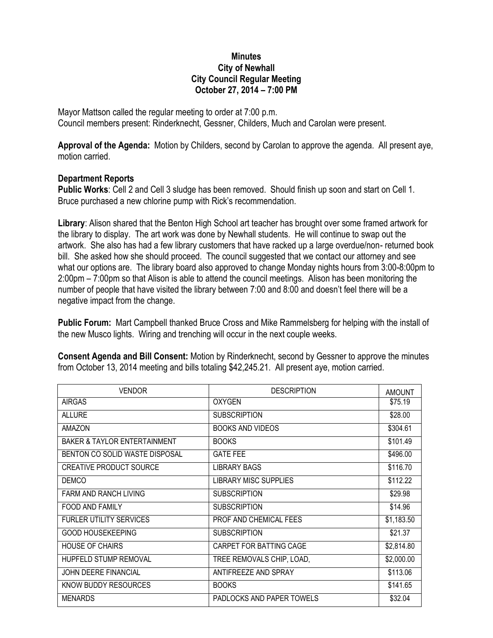## **Minutes City of Newhall City Council Regular Meeting October 27, 2014 – 7:00 PM**

Mayor Mattson called the regular meeting to order at 7:00 p.m. Council members present: Rinderknecht, Gessner, Childers, Much and Carolan were present.

**Approval of the Agenda:** Motion by Childers, second by Carolan to approve the agenda. All present aye, motion carried.

## **Department Reports**

**Public Works**: Cell 2 and Cell 3 sludge has been removed. Should finish up soon and start on Cell 1. Bruce purchased a new chlorine pump with Rick's recommendation.

**Library**: Alison shared that the Benton High School art teacher has brought over some framed artwork for the library to display. The art work was done by Newhall students. He will continue to swap out the artwork. She also has had a few library customers that have racked up a large overdue/non- returned book bill. She asked how she should proceed. The council suggested that we contact our attorney and see what our options are. The library board also approved to change Monday nights hours from 3:00-8:00pm to 2:00pm – 7:00pm so that Alison is able to attend the council meetings. Alison has been monitoring the number of people that have visited the library between 7:00 and 8:00 and doesn't feel there will be a negative impact from the change.

**Public Forum:** Mart Campbell thanked Bruce Cross and Mike Rammelsberg for helping with the install of the new Musco lights. Wiring and trenching will occur in the next couple weeks.

| <b>VENDOR</b>                           | <b>DESCRIPTION</b>           | <b>AMOUNT</b> |
|-----------------------------------------|------------------------------|---------------|
| <b>AIRGAS</b>                           | <b>OXYGEN</b>                | \$75.19       |
| <b>ALLURE</b>                           | <b>SUBSCRIPTION</b>          | \$28.00       |
| <b>AMAZON</b>                           | <b>BOOKS AND VIDEOS</b>      | \$304.61      |
| <b>BAKER &amp; TAYLOR ENTERTAINMENT</b> | <b>BOOKS</b>                 | \$101.49      |
| BENTON CO SOLID WASTE DISPOSAL          | <b>GATE FEE</b>              | \$496.00      |
| <b>CREATIVE PRODUCT SOURCE</b>          | <b>LIBRARY BAGS</b>          | \$116.70      |
| <b>DEMCO</b>                            | <b>LIBRARY MISC SUPPLIES</b> | \$112.22      |
| <b>FARM AND RANCH LIVING</b>            | <b>SUBSCRIPTION</b>          | \$29.98       |
| FOOD AND FAMILY                         | <b>SUBSCRIPTION</b>          | \$14.96       |
| <b>FURLER UTILITY SERVICES</b>          | PROF AND CHEMICAL FEES       | \$1,183.50    |
| <b>GOOD HOUSEKEEPING</b>                | <b>SUBSCRIPTION</b>          | \$21.37       |
| <b>HOUSE OF CHAIRS</b>                  | CARPET FOR BATTING CAGE      | \$2,814.80    |
| HUPFELD STUMP REMOVAL                   | TREE REMOVALS CHIP, LOAD,    | \$2,000.00    |
| <b>JOHN DEERE FINANCIAL</b>             | ANTIFREEZE AND SPRAY         | \$113.06      |
| KNOW BUDDY RESOURCES                    | <b>BOOKS</b>                 | \$141.65      |
| <b>MENARDS</b>                          | PADLOCKS AND PAPER TOWELS    | \$32.04       |

**Consent Agenda and Bill Consent:** Motion by Rinderknecht, second by Gessner to approve the minutes from October 13, 2014 meeting and bills totaling \$42,245.21. All present aye, motion carried.